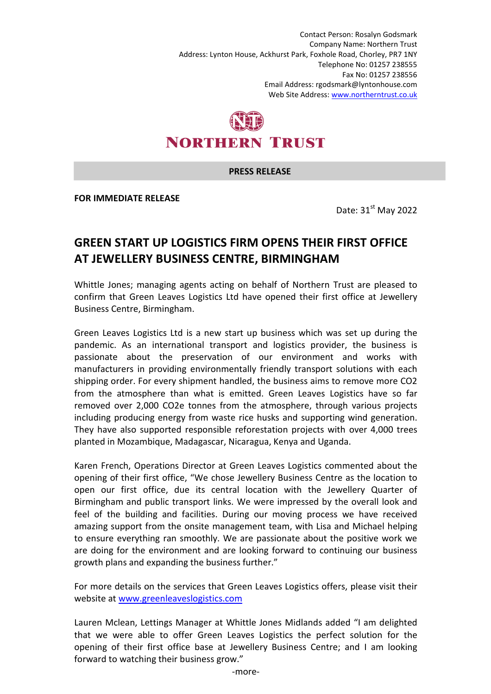Contact Person: Rosalyn Godsmark Company Name: Northern Trust Address: Lynton House, Ackhurst Park, Foxhole Road, Chorley, PR7 1NY Telephone No: 01257 238555 Fax No: 01257 238556 Email Address: rgodsmark@lyntonhouse.com Web Site Address: www.northerntrust.co.uk

## **NORTHERN TRUST**

## **PRESS RELEASE**

**FOR IMMEDIATE RELEASE** 

Date:  $31<sup>st</sup>$  May 2022

## **GREEN START UP LOGISTICS FIRM OPENS THEIR FIRST OFFICE AT JEWELLERY BUSINESS CENTRE, BIRMINGHAM**

Whittle Jones; managing agents acting on behalf of Northern Trust are pleased to confirm that Green Leaves Logistics Ltd have opened their first office at Jewellery Business Centre, Birmingham.

Green Leaves Logistics Ltd is a new start up business which was set up during the pandemic. As an international transport and logistics provider, the business is passionate about the preservation of our environment and works with manufacturers in providing environmentally friendly transport solutions with each shipping order. For every shipment handled, the business aims to remove more CO2 from the atmosphere than what is emitted. Green Leaves Logistics have so far removed over 2,000 CO2e tonnes from the atmosphere, through various projects including producing energy from waste rice husks and supporting wind generation. They have also supported responsible reforestation projects with over 4,000 trees planted in Mozambique, Madagascar, Nicaragua, Kenya and Uganda.

Karen French, Operations Director at Green Leaves Logistics commented about the opening of their first office, "We chose Jewellery Business Centre as the location to open our first office, due its central location with the Jewellery Quarter of Birmingham and public transport links. We were impressed by the overall look and feel of the building and facilities. During our moving process we have received amazing support from the onsite management team, with Lisa and Michael helping to ensure everything ran smoothly. We are passionate about the positive work we are doing for the environment and are looking forward to continuing our business growth plans and expanding the business further."

For more details on the services that Green Leaves Logistics offers, please visit their website at www.greenleaveslogistics.com

Lauren Mclean, Lettings Manager at Whittle Jones Midlands added "I am delighted that we were able to offer Green Leaves Logistics the perfect solution for the opening of their first office base at Jewellery Business Centre; and I am looking forward to watching their business grow."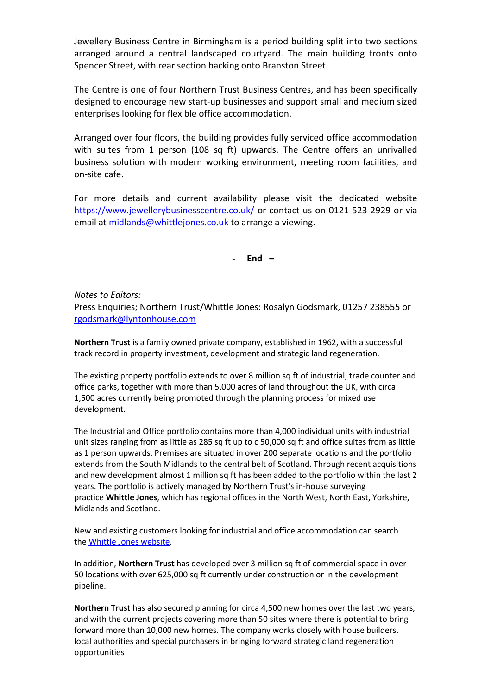Jewellery Business Centre in Birmingham is a period building split into two sections arranged around a central landscaped courtyard. The main building fronts onto Spencer Street, with rear section backing onto Branston Street.

The Centre is one of four Northern Trust Business Centres, and has been specifically designed to encourage new start-up businesses and support small and medium sized enterprises looking for flexible office accommodation.

Arranged over four floors, the building provides fully serviced office accommodation with suites from 1 person (108 sq ft) upwards. The Centre offers an unrivalled business solution with modern working environment, meeting room facilities, and on-site cafe.

For more details and current availability please visit the dedicated website https://www.jewellerybusinesscentre.co.uk/ or contact us on 0121 523 2929 or via email at midlands@whittlejones.co.uk to arrange a viewing.

- **End –** 

*Notes to Editors:*

Press Enquiries; Northern Trust/Whittle Jones: Rosalyn Godsmark, 01257 238555 or rgodsmark@lyntonhouse.com

**Northern Trust** is a family owned private company, established in 1962, with a successful track record in property investment, development and strategic land regeneration.

The existing property portfolio extends to over 8 million sq ft of industrial, trade counter and office parks, together with more than 5,000 acres of land throughout the UK, with circa 1,500 acres currently being promoted through the planning process for mixed use development.

The Industrial and Office portfolio contains more than 4,000 individual units with industrial unit sizes ranging from as little as 285 sq ft up to c 50,000 sq ft and office suites from as little as 1 person upwards. Premises are situated in over 200 separate locations and the portfolio extends from the South Midlands to the central belt of Scotland. Through recent acquisitions and new development almost 1 million sq ft has been added to the portfolio within the last 2 years. The portfolio is actively managed by Northern Trust's in-house surveying practice **Whittle Jones**, which has regional offices in the North West, North East, Yorkshire, Midlands and Scotland.

New and existing customers looking for industrial and office accommodation can search the Whittle Jones website.

In addition, **Northern Trust** has developed over 3 million sq ft of commercial space in over 50 locations with over 625,000 sq ft currently under construction or in the development pipeline.

**Northern Trust** has also secured planning for circa 4,500 new homes over the last two years, and with the current projects covering more than 50 sites where there is potential to bring forward more than 10,000 new homes. The company works closely with house builders, local authorities and special purchasers in bringing forward strategic land regeneration opportunities